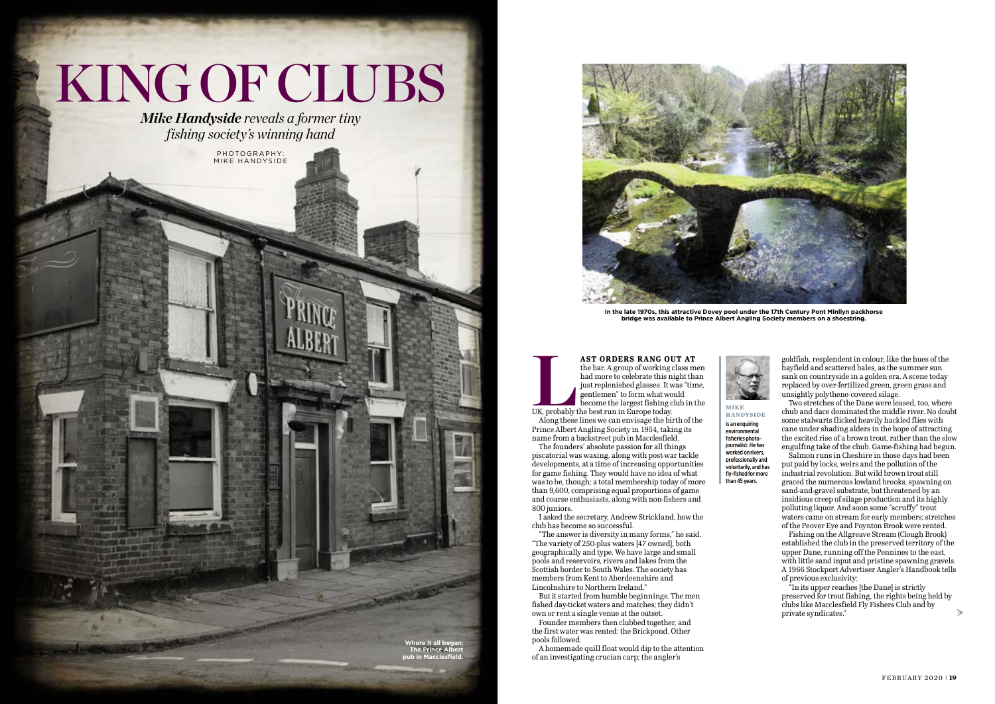# KING OF CLUBS

*Mike Handyside reveals a former tiny fishing society's winning hand*

> **LAST ORDERS RANG OUT AT**<br>
> the bar. A group of working class means that more to celebrate this night that<br>
> just replenished glasses. It was "time<br>
> gentlemen" to form what would<br>
> become the largest fishing club in t<br>
> UK, pr the bar. A group of working class men had more to celebrate this night than just replenished glasses. It was "time, gentlemen" to form what would become the largest fishing club in the

Along these lines we can envisage the birth of the Prince Albert Angling Society in 1954, taking its name from a backstreet pub in Macclesfield.

The founders' absolute passion for all things piscatorial was waxing, along with post-war tackle developments, at a time of increasing opportunities for game fishing. They would have no idea of what was to be, though; a total membership today of more than 9,600, comprising equal proportions of game and coarse enthusiasts, along with non-fishers and 800 juniors.

I asked the secretary, Andrew Strickland, how the club has become so successful.

"The answer is diversity in many forms," he said. "The variety of 250-plus waters [47 owned], both geographically and type. We have large and small pools and reservoirs, rivers and lakes from the Scottish border to South Wales. The society has members from Kent to Aberdeenshire and Lincolnshire to Northern Ireland."

But it started from humble beginnings. The men fished day-ticket waters and matches; they didn't own or rent a single venue at the outset.

Founder members then clubbed together, and the first water was rented: the Brickpond. Other pools followed.

A homemade quill float would dip to the attention of an investigating crucian carp; the angler's

goldfish, resplendent in colour, like the hues of the hayfield and scattered bales, as the summer sun sank on countryside in a golden era. A scene today replaced by over-fertilized green, green grass and unsightly polythene-covered silage.



Two stretches of the Dane were leased, too, where chub and dace dominated the middle river. No doubt some stalwarts flicked heavily hackled flies with cane under shading alders in the hope of attracting the excited rise of a brown trout, rather than the slow engulfing take of the chub. Game-fishing had begun.

Salmon runs in Cheshire in those days had been put paid by locks, weirs and the pollution of the industrial revolution. But wild brown trout still graced the numerous lowland brooks, spawning on sand-and-gravel substrate, but threatened by an insidious creep of silage production and its highly polluting liquor. And soon some "scruffy" trout waters came on stream for early members; stretches of the Peover Eye and Poynton Brook were rented.

Fishing on the Allgreave Stream (Clough Brook) established the club in the preserved territory of the upper Dane, running off the Pennines to the east, with little sand input and pristine spawning gravels. A 1966 Stockport Advertiser Angler's Handbook tells of previous exclusivity:

"In its upper reaches [the Dane] is strictly preserved for trout fishing, the rights being held by clubs like Macclesfield Fly Fishers Club and by private syndicates."



# is an enquiring environmental fisheries photojournalist. He has worked on rivers, professionally and voluntarily, and has fly-fished for more than 45 years.

›



**In the late 1970s, this attractive Dovey pool under the 17th Century Pont Minllyn packhorse bridge was available to Prince Albert Angling Society members on a shoestring.**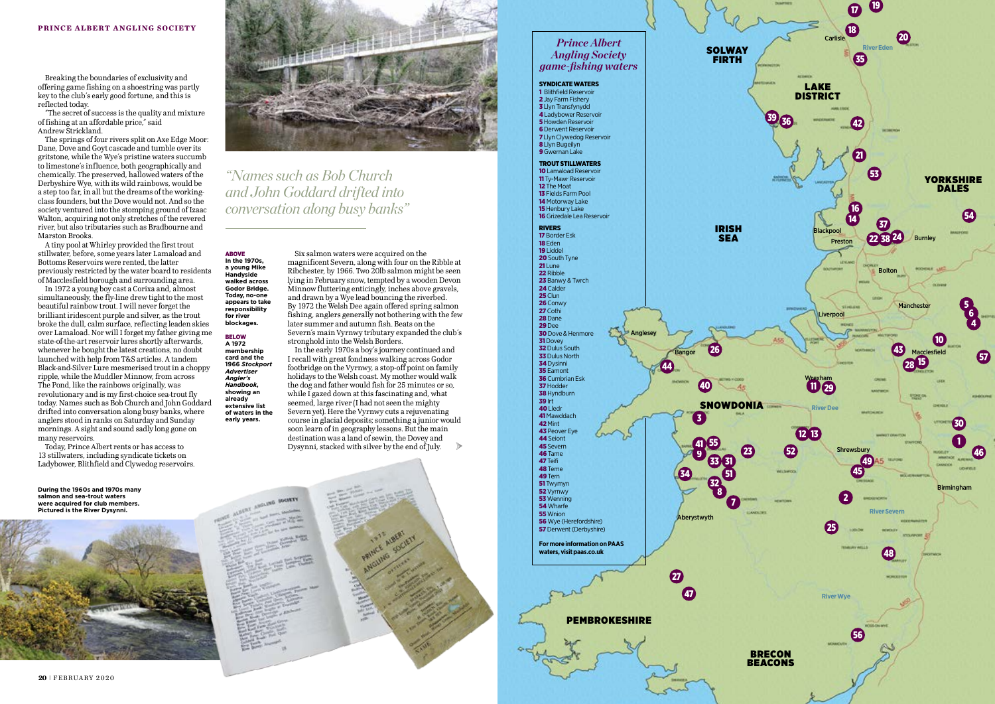Breaking the boundaries of exclusivity and offering game fishing on a shoestring was partly key to the club's early good fortune, and this is reflected today.

"The secret of success is the quality and mixture of fishing at an affordable price," said Andrew Strickland.

The springs of four rivers split on Axe Edge Moor: Dane, Dove and Goyt cascade and tumble over its gritstone, while the Wye's pristine waters succumb to limestone's influence, both geographically and chemically. The preserved, hallowed waters of the Derbyshire Wye, with its wild rainbows, would be a step too far, in all but the dreams of the workingclass founders, but the Dove would not. And so the society ventured into the stomping ground of Izaac Walton, acquiring not only stretches of the revered river, but also tributaries such as Bradbourne and Marston Brooks.

A tiny pool at Whirley provided the first trout stillwater, before, some years later Lamaload and Bottoms Reservoirs were rented, the latter previously restricted by the water board to residents of Macclesfield borough and surrounding area.

In 1972 a young boy cast a Corixa and, almost simultaneously, the fly-line drew tight to the most beautiful rainbow trout. I will never forget the brilliant iridescent purple and silver, as the trout broke the dull, calm surface, reflecting leaden skies over Lamaload. Nor will I forget my father giving me state-of-the-art reservoir lures shortly afterwards, whenever he bought the latest creations, no doubt launched with help from T&S articles. A tandem Black-and-Silver Lure mesmerised trout in a choppy ripple, while the Muddler Minnow, from across The Pond, like the rainbows originally, was revolutionary and is my first-choice sea-trout fly today. Names such as Bob Church and John Goddard drifted into conversation along busy banks, where anglers stood in ranks on Saturday and Sunday mornings. A sight and sound sadly long gone on many reservoirs.

Today, Prince Albert rents or has access to 13 stillwaters, including syndicate tickets on Ladybower, Blithfield and Clywedog reservoirs.

Six salmon waters were acquired on the magnificent Severn, along with four on the Ribble at Ribchester, by 1966. Two 20lb salmon might be seen lying in February snow, tempted by a wooden Devon Minnow fluttering enticingly, inches above gravels, and drawn by a Wye lead bouncing the riverbed. By 1972 the Welsh Dee again offered spring salmon fishing, anglers generally not bothering with the few later summer and autumn fish. Beats on the Severn's main Vyrnwy tributary expanded the club's stronghold into the Welsh Borders.



In the early 1970s a boy's journey continued and I recall with great fondness walking across Godor footbridge on the Vyrnwy, a stop-off point on family holidays to the Welsh coast. My mother would walk the dog and father would fish for 25 minutes or so, while  $\bar{I}$  gazed down at this fascinating and, what seemed, large river (I had not seen the mighty Severn yet). Here the Vyrnwy cuts a rejuvenating course in glacial deposits; something a junior would soon learn of in geography lessons. But the main destination was a land of sewin, the Dovey and Dysynni, stacked with silver by the end of July. ›

ABOVE **In the 1970s, a young Mike Handyside walked across Godor Bridge. Today, no-one appears to take responsibility for river blockages.**

BELOW **A 1972 membership card and the 1966** *Stockport Advertiser Angler's Handbook***, showing an already extensive list of waters in the early years.**

*"Names such as Bob Church and John Goddard drifted into conversation along busy banks"*

**During the 1960s and 1970s many salmon and sea-trout waters were acquired for club members. Pictured is the River Dysynni.**

![](_page_1_Picture_8.jpeg)

![](_page_1_Picture_10.jpeg)

# *Prince Albert Angling Society game-fishing waters*

SYNDICATE WATERS 1 Blithfield Reservoir 2 Jay Farm Fishery 3 Llyn Transfynydd 4 Ladybower Reservoir **5** Howden Reservoir 6 Derwent Reservoir 7 Llyn Clywedog Reservoir 8 Llyn Bugeilyn 9 Gwernan Lake TROUT STILLWATERS 10 Lamaload Reservoir 11 Ty-Mawr Reservoir 12 The Moat 13 Fields Farm Pool 14 Motorway Lake 15 Henbury Lake 16 Grizedale Lea Reservoir RIVERS 17 Border Esk 18 Eden 19 Liddel 20 South Tyne 21 Lune 22 Ribble 23 Banwy & Twrch 24 Calder 25 Clun 26 Conwy 27 Cothi 28 Dane 29 Dee **30** Dove & Henmore **31 Dovey 32 Dulus South 33 Dulus North** 34 Dysinni **35** Eamont 36 Cumbrian Esk **37 Hodder 38 Hyndburn** 39 Irt 40 Lledr 41 Mawddach 42 Mint **43 Peover Eye** 44 Seiont 45 Severn 46 Tame 47 Teifi 48 Teme 49 Tern 51 Twymyn 52 Vyrnwy **53** Wenning **54** Wharfe **55** Wnion 56 Wye (Herefordshire) 57 Derwent (Derbyshire) **For more information on PAAS waters, visit paas.co.uk** 23 3 26 27 7 8 9 31 32 33 34 40 55 44 47 51 41 PEMBROKESHIRE IRISH SEA SNOWDONIA 'Bango **Anglese** Aberystwyth

FIRTH